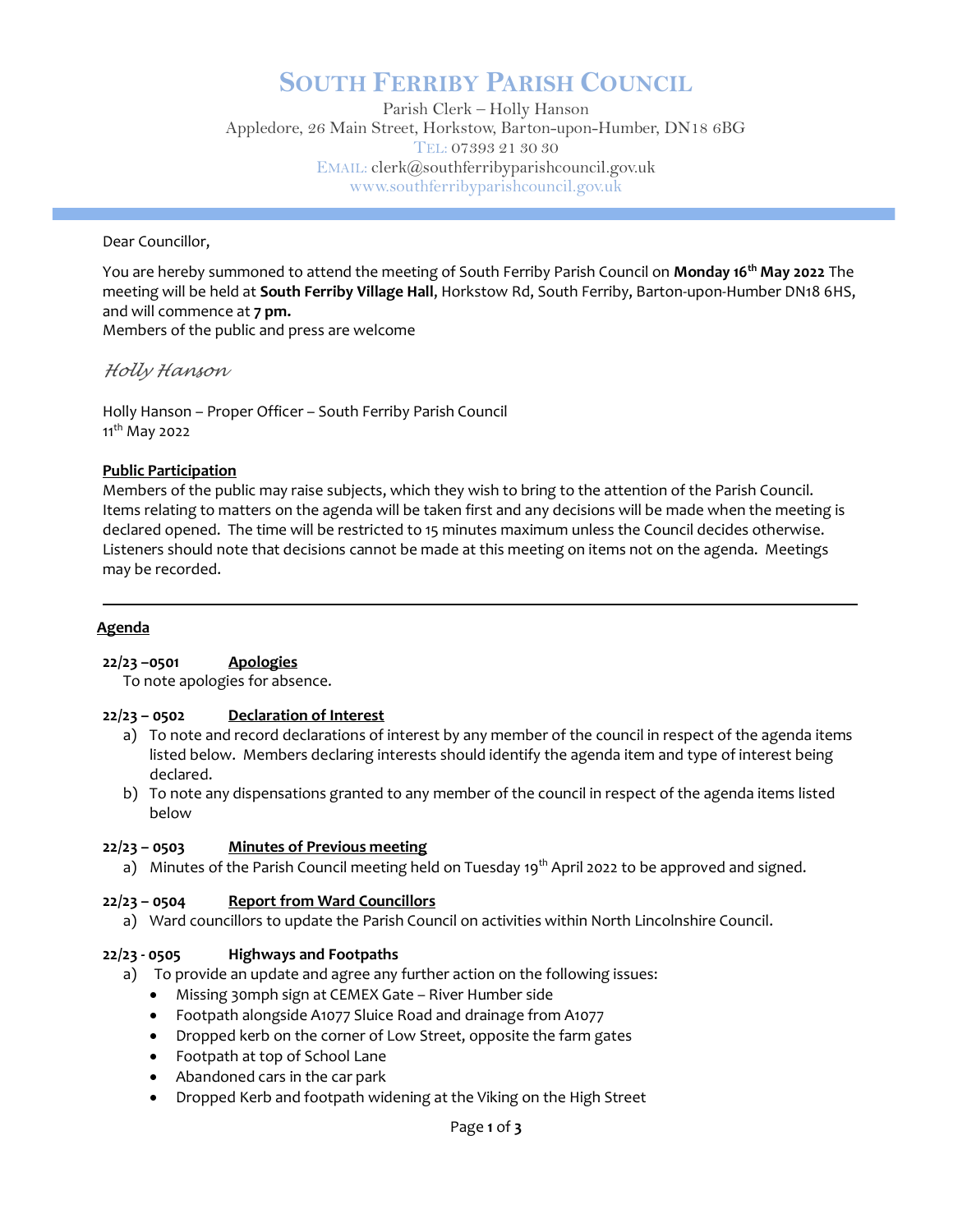# SOUTH FERRIBY PARISH COUNCIL

Parish Clerk – Holly Hanson Appledore, 26 Main Street, Horkstow, Barton-upon-Humber, DN18 6BG TEL: 07393 21 30 30 EMAIL: clerk@southferribyparishcouncil.gov.uk www.southferribyparishcouncil.gov.uk

Dear Councillor,

You are hereby summoned to attend the meeting of South Ferriby Parish Council on **Monday 16<sup>th</sup> May 2022** The meeting will be held at South Ferriby Village Hall, Horkstow Rd, South Ferriby, Barton-upon-Humber DN18 6HS, and will commence at 7 pm. Members of the public and press are welcome

Holly Hanson

Holly Hanson – Proper Officer – South Ferriby Parish Council 11<sup>th</sup> May 2022

# Public Participation

Members of the public may raise subjects, which they wish to bring to the attention of the Parish Council. Items relating to matters on the agenda will be taken first and any decisions will be made when the meeting is declared opened. The time will be restricted to 15 minutes maximum unless the Council decides otherwise. Listeners should note that decisions cannot be made at this meeting on items not on the agenda. Meetings may be recorded.

#### Agenda

#### 22/23 –0501 Apologies

To note apologies for absence.

#### 22/23 – 0502 Declaration of Interest

- a) To note and record declarations of interest by any member of the council in respect of the agenda items listed below. Members declaring interests should identify the agenda item and type of interest being declared.
- b) To note any dispensations granted to any member of the council in respect of the agenda items listed below

#### 22/23 – 0503 Minutes of Previous meeting

a) Minutes of the Parish Council meeting held on Tuesday 19<sup>th</sup> April 2022 to be approved and signed.

#### 22/23 – 0504 Report from Ward Councillors

a) Ward councillors to update the Parish Council on activities within North Lincolnshire Council.

#### 22/23 - 0505 Highways and Footpaths

- a) To provide an update and agree any further action on the following issues:
	- Missing 30mph sign at CEMEX Gate River Humber side
	- Footpath alongside A1077 Sluice Road and drainage from A1077
	- Dropped kerb on the corner of Low Street, opposite the farm gates
	- Footpath at top of School Lane
	- Abandoned cars in the car park
	- Dropped Kerb and footpath widening at the Viking on the High Street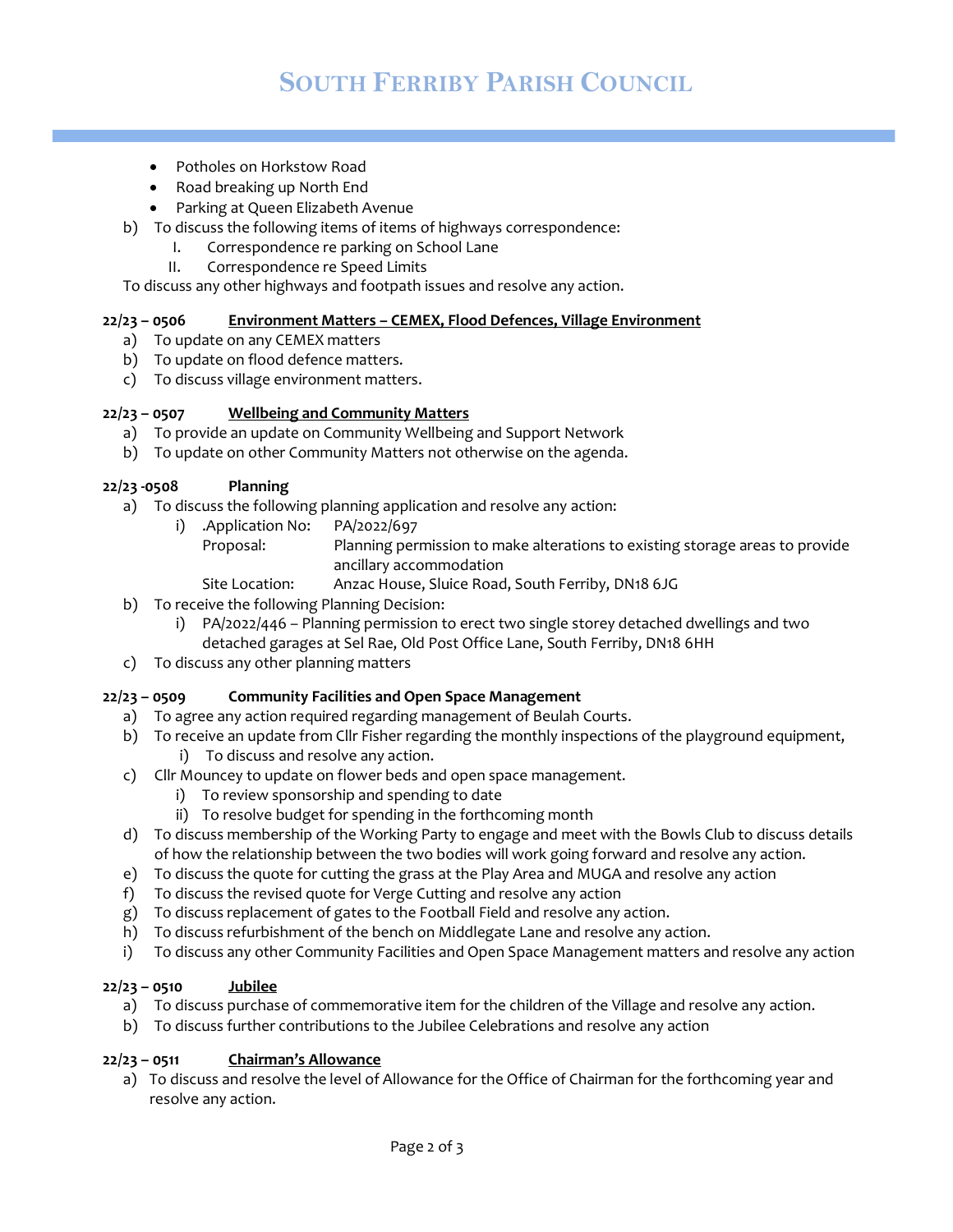- Potholes on Horkstow Road
- Road breaking up North End
- Parking at Queen Elizabeth Avenue
- b) To discuss the following items of items of highways correspondence:
	- I. Correspondence re parking on School Lane
		- II. Correspondence re Speed Limits

To discuss any other highways and footpath issues and resolve any action.

# 22/23 – 0506 Environment Matters – CEMEX, Flood Defences, Village Environment

- a) To update on any CEMEX matters
- b) To update on flood defence matters.
- c) To discuss village environment matters.

#### 22/23 – 0507 Wellbeing and Community Matters

- a) To provide an update on Community Wellbeing and Support Network
- b) To update on other Community Matters not otherwise on the agenda.

#### 22/23 -0508 Planning

- a) To discuss the following planning application and resolve any action:
	- i) .Application No: PA/2022/697

Proposal: Planning permission to make alterations to existing storage areas to provide ancillary accommodation

- Site Location: Anzac House, Sluice Road, South Ferriby, DN18 6JG
- b) To receive the following Planning Decision:
	- i) PA/2022/446 Planning permission to erect two single storey detached dwellings and two detached garages at Sel Rae, Old Post Office Lane, South Ferriby, DN18 6HH
- c) To discuss any other planning matters

#### 22/23 – 0509 Community Facilities and Open Space Management

- a) To agree any action required regarding management of Beulah Courts.
- b) To receive an update from Cllr Fisher regarding the monthly inspections of the playground equipment,
	- i) To discuss and resolve any action.
- c) Cllr Mouncey to update on flower beds and open space management.
	- i) To review sponsorship and spending to date
	- ii) To resolve budget for spending in the forthcoming month
- d) To discuss membership of the Working Party to engage and meet with the Bowls Club to discuss details of how the relationship between the two bodies will work going forward and resolve any action.
- e) To discuss the quote for cutting the grass at the Play Area and MUGA and resolve any action
- f) To discuss the revised quote for Verge Cutting and resolve any action
- g) To discuss replacement of gates to the Football Field and resolve any action.
- h) To discuss refurbishment of the bench on Middlegate Lane and resolve any action.
- i) To discuss any other Community Facilities and Open Space Management matters and resolve any action

#### $22/23 - 0510$  Jubilee

- a) To discuss purchase of commemorative item for the children of the Village and resolve any action.
- b) To discuss further contributions to the Jubilee Celebrations and resolve any action

## $22/23 - 0511$  Chairman's Allowance

a) To discuss and resolve the level of Allowance for the Office of Chairman for the forthcoming year and resolve any action.